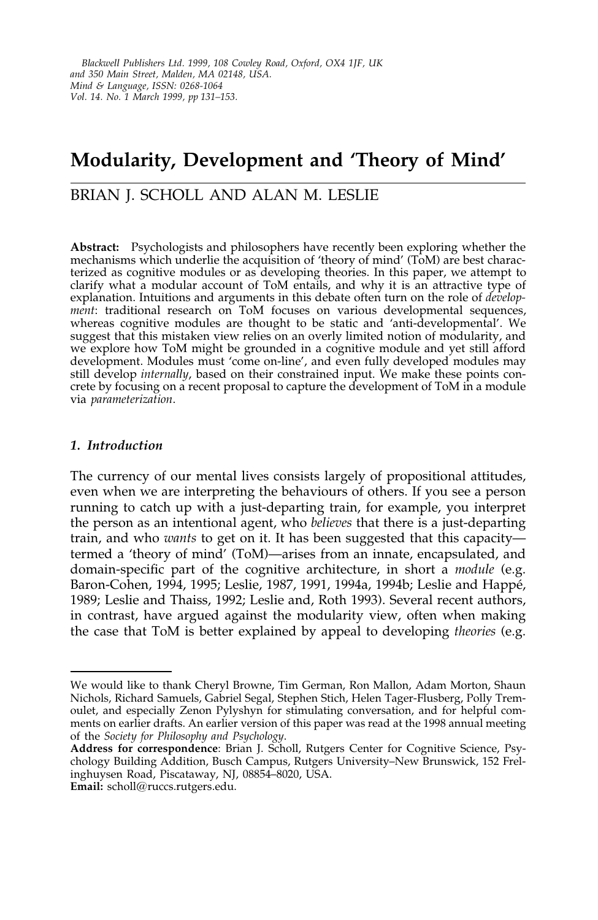# **Modularity, Development and 'Theory of Mind'**

# BRIAN J. SCHOLL AND ALAN M. LESLIE

**Abstract:** Psychologists and philosophers have recently been exploring whether the mechanisms which underlie the acquisition of 'theory of mind' (ToM) are best characterized as cognitive modules or as developing theories. In this paper, we attempt to clarify what a modular account of ToM entails, and why it is an attractive type of explanation. Intuitions and arguments in this debate often turn on the role of *development*: traditional research on ToM focuses on various developmental sequences, whereas cognitive modules are thought to be static and 'anti-developmental'. We suggest that this mistaken view relies on an overly limited notion of modularity, and we explore how ToM might be grounded in a cognitive module and yet still afford development. Modules must 'come on-line', and even fully developed modules may still develop *internally*, based on their constrained input. We make these points concrete by focusing on a recent proposal to capture the development of ToM in a module via *parameterization*.

#### *1. Introduction*

The currency of our mental lives consists largely of propositional attitudes, even when we are interpreting the behaviours of others. If you see a person running to catch up with a just-departing train, for example, you interpret the person as an intentional agent, who *believes* that there is a just-departing train, and who *wants* to get on it. It has been suggested that this capacity termed a 'theory of mind' (ToM)—arises from an innate, encapsulated, and domain-specific part of the cognitive architecture, in short a *module* (e.g. Baron-Cohen, 1994, 1995; Leslie, 1987, 1991, 1994a, 1994b; Leslie and Happé, 1989; Leslie and Thaiss, 1992; Leslie and, Roth 1993). Several recent authors, in contrast, have argued against the modularity view, often when making the case that ToM is better explained by appeal to developing *theories* (e.g.

We would like to thank Cheryl Browne, Tim German, Ron Mallon, Adam Morton, Shaun Nichols, Richard Samuels, Gabriel Segal, Stephen Stich, Helen Tager-Flusberg, Polly Tremoulet, and especially Zenon Pylyshyn for stimulating conversation, and for helpful comments on earlier drafts. An earlier version of this paper was read at the 1998 annual meeting of the *Society for Philosophy and Psychology*.

**Address for correspondence**: Brian J. Scholl, Rutgers Center for Cognitive Science, Psychology Building Addition, Busch Campus, Rutgers University–New Brunswick, 152 Frelinghuysen Road, Piscataway, NJ, 08854–8020, USA.

Email: scholl@ruccs.rutgers.edu.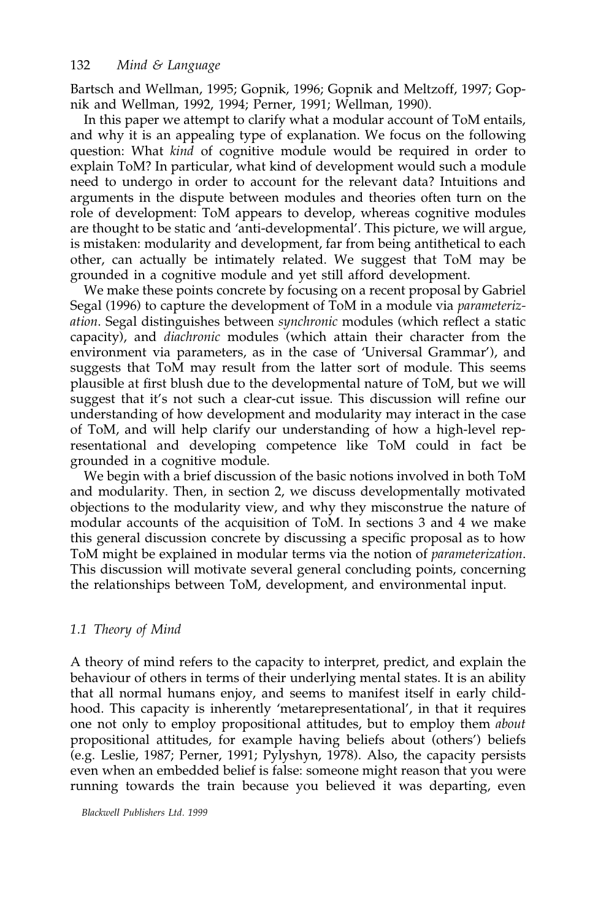Bartsch and Wellman, 1995; Gopnik, 1996; Gopnik and Meltzoff, 1997; Gopnik and Wellman, 1992, 1994; Perner, 1991; Wellman, 1990).

In this paper we attempt to clarify what a modular account of ToM entails, and why it is an appealing type of explanation. We focus on the following question: What *kind* of cognitive module would be required in order to explain ToM? In particular, what kind of development would such a module need to undergo in order to account for the relevant data? Intuitions and arguments in the dispute between modules and theories often turn on the role of development: ToM appears to develop, whereas cognitive modules are thought to be static and 'anti-developmental'. This picture, we will argue, is mistaken: modularity and development, far from being antithetical to each other, can actually be intimately related. We suggest that ToM may be grounded in a cognitive module and yet still afford development.

We make these points concrete by focusing on a recent proposal by Gabriel Segal (1996) to capture the development of ToM in a module via *parameterization*. Segal distinguishes between *synchronic* modules (which reflect a static capacity), and *diachronic* modules (which attain their character from the environment via parameters, as in the case of 'Universal Grammar'), and suggests that ToM may result from the latter sort of module. This seems plausible at first blush due to the developmental nature of ToM, but we will suggest that it's not such a clear-cut issue. This discussion will refine our understanding of how development and modularity may interact in the case of ToM, and will help clarify our understanding of how a high-level representational and developing competence like ToM could in fact be grounded in a cognitive module.

We begin with a brief discussion of the basic notions involved in both ToM and modularity. Then, in section 2, we discuss developmentally motivated objections to the modularity view, and why they misconstrue the nature of modular accounts of the acquisition of ToM. In sections 3 and 4 we make this general discussion concrete by discussing a specific proposal as to how ToM might be explained in modular terms via the notion of *parameterization*. This discussion will motivate several general concluding points, concerning the relationships between ToM, development, and environmental input.

#### *1.1 Theory of Mind*

A theory of mind refers to the capacity to interpret, predict, and explain the behaviour of others in terms of their underlying mental states. It is an ability that all normal humans enjoy, and seems to manifest itself in early childhood. This capacity is inherently 'metarepresentational', in that it requires one not only to employ propositional attitudes, but to employ them *about* propositional attitudes, for example having beliefs about (others') beliefs (e.g. Leslie, 1987; Perner, 1991; Pylyshyn, 1978). Also, the capacity persists even when an embedded belief is false: someone might reason that you were running towards the train because you believed it was departing, even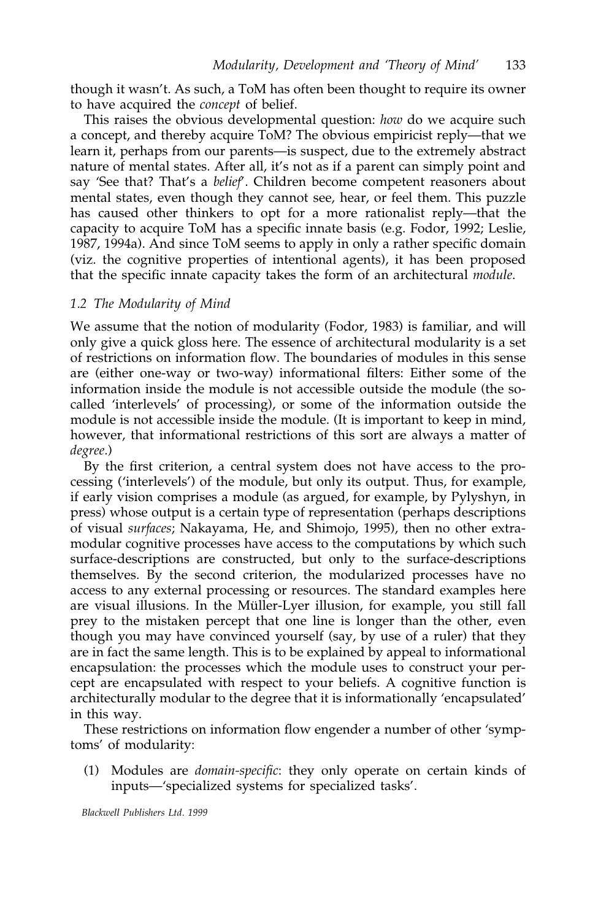though it wasn't. As such, a ToM has often been thought to require its owner to have acquired the *concept* of belief.

This raises the obvious developmental question: *how* do we acquire such a concept, and thereby acquire ToM? The obvious empiricist reply—that we learn it, perhaps from our parents—is suspect, due to the extremely abstract nature of mental states. After all, it's not as if a parent can simply point and say 'See that? That's a *belief*'. Children become competent reasoners about mental states, even though they cannot see, hear, or feel them. This puzzle has caused other thinkers to opt for a more rationalist reply—that the capacity to acquire ToM has a specific innate basis (e.g. Fodor, 1992; Leslie, 1987, 1994a). And since ToM seems to apply in only a rather specific domain (viz. the cognitive properties of intentional agents), it has been proposed that the specific innate capacity takes the form of an architectural *module*.

#### *1.2 The Modularity of Mind*

We assume that the notion of modularity (Fodor, 1983) is familiar, and will only give a quick gloss here. The essence of architectural modularity is a set of restrictions on information flow. The boundaries of modules in this sense are (either one-way or two-way) informational filters: Either some of the information inside the module is not accessible outside the module (the socalled 'interlevels' of processing), or some of the information outside the module is not accessible inside the module. (It is important to keep in mind, however, that informational restrictions of this sort are always a matter of *degree*.)

By the first criterion, a central system does not have access to the processing ('interlevels') of the module, but only its output. Thus, for example, if early vision comprises a module (as argued, for example, by Pylyshyn, in press) whose output is a certain type of representation (perhaps descriptions of visual *surfaces*; Nakayama, He, and Shimojo, 1995), then no other extramodular cognitive processes have access to the computations by which such surface-descriptions are constructed, but only to the surface-descriptions themselves. By the second criterion, the modularized processes have no access to any external processing or resources. The standard examples here are visual illusions. In the Müller-Lyer illusion, for example, you still fall prey to the mistaken percept that one line is longer than the other, even though you may have convinced yourself (say, by use of a ruler) that they are in fact the same length. This is to be explained by appeal to informational encapsulation: the processes which the module uses to construct your percept are encapsulated with respect to your beliefs. A cognitive function is architecturally modular to the degree that it is informationally 'encapsulated' in this way.

These restrictions on information flow engender a number of other 'symptoms' of modularity:

(1) Modules are *domain-specific*: they only operate on certain kinds of inputs—'specialized systems for specialized tasks'.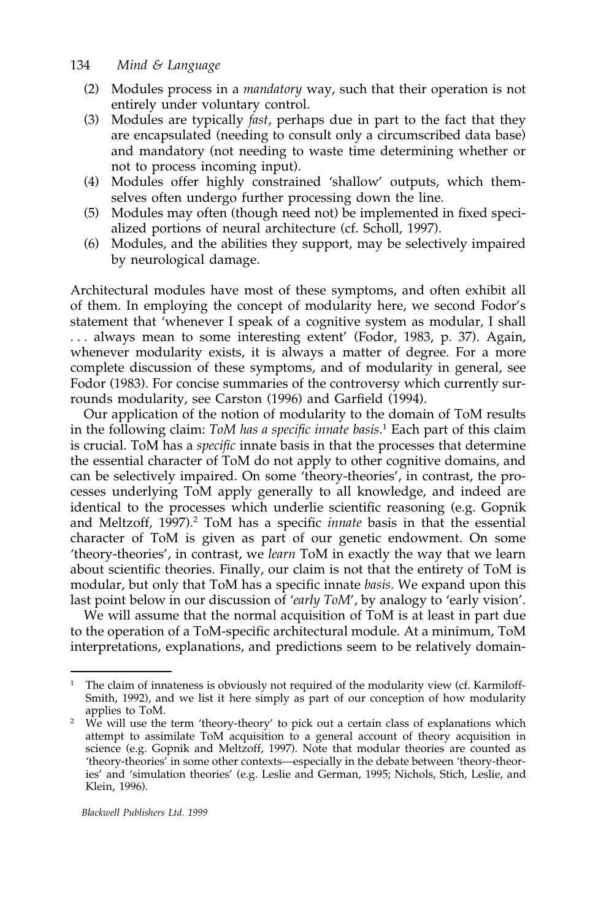#### 134 *Mind & Language*

- (2) Modules process in a *mandatory* way, such that their operation is not entirely under voluntary control.
- (3) Modules are typically *fast*, perhaps due in part to the fact that they are encapsulated (needing to consult only a circumscribed data base) and mandatory (not needing to waste time determining whether or not to process incoming input).
- (4) Modules offer highly constrained 'shallow' outputs, which themselves often undergo further processing down the line.
- (5) Modules may often (though need not) be implemented in fixed specialized portions of neural architecture (cf. Scholl, 1997).
- (6) Modules, and the abilities they support, may be selectively impaired by neurological damage.

Architectural modules have most of these symptoms, and often exhibit all of them. In employing the concept of modularity here, we second Fodor's statement that 'whenever I speak of a cognitive system as modular, I shall . . . always mean to some interesting extent' (Fodor, 1983, p. 37). Again, whenever modularity exists, it is always a matter of degree. For a more complete discussion of these symptoms, and of modularity in general, see Fodor (1983). For concise summaries of the controversy which currently surrounds modularity, see Carston (1996) and Garfield (1994).

Our application of the notion of modularity to the domain of ToM results in the following claim: *ToM has a specific innate basis*. <sup>1</sup> Each part of this claim is crucial. ToM has a *specific* innate basis in that the processes that determine the essential character of ToM do not apply to other cognitive domains, and can be selectively impaired. On some 'theory-theories', in contrast, the processes underlying ToM apply generally to all knowledge, and indeed are identical to the processes which underlie scientific reasoning (e.g. Gopnik and Meltzoff, 1997).<sup>2</sup> ToM has a specific *innate* basis in that the essential character of ToM is given as part of our genetic endowment. On some 'theory-theories', in contrast, we *learn* ToM in exactly the way that we learn about scientific theories. Finally, our claim is not that the entirety of ToM is modular, but only that ToM has a specific innate *basis*. We expand upon this last point below in our discussion of '*early ToM*', by analogy to 'early vision'.

We will assume that the normal acquisition of ToM is at least in part due to the operation of a ToM-specific architectural module. At a minimum, ToM interpretations, explanations, and predictions seem to be relatively domain-

<sup>&</sup>lt;sup>1</sup> The claim of innateness is obviously not required of the modularity view (cf. Karmiloff-Smith, 1992), and we list it here simply as part of our conception of how modularity applies to ToM.

<sup>&</sup>lt;sup>2</sup> We will use the term 'theory-theory' to pick out a certain class of explanations which attempt to assimilate ToM acquisition to a general account of theory acquisition in science (e.g. Gopnik and Meltzoff, 1997). Note that modular theories are counted as 'theory-theories' in some other contexts—especially in the debate between 'theory-theories' and 'simulation theories' (e.g. Leslie and German, 1995; Nichols, Stich, Leslie, and Klein, 1996).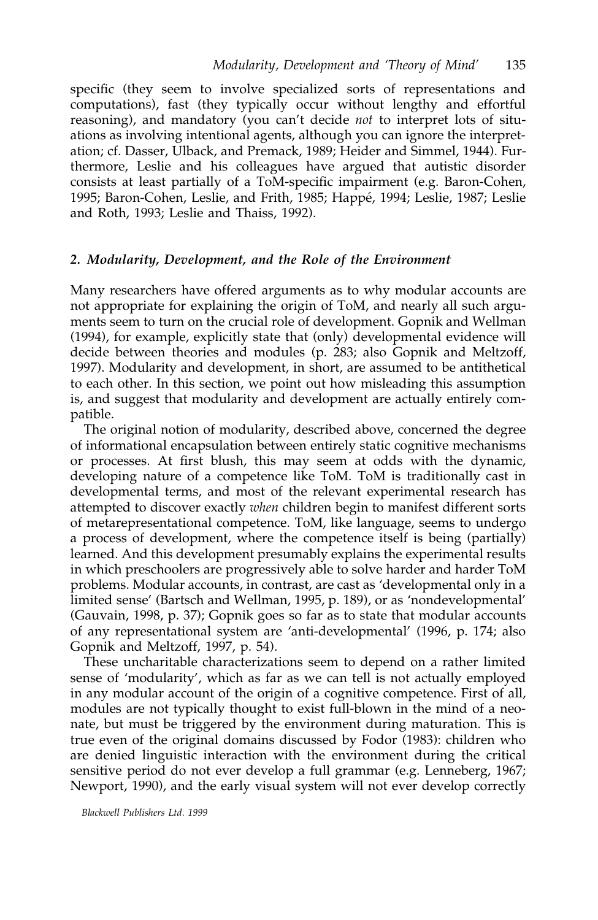specific (they seem to involve specialized sorts of representations and computations), fast (they typically occur without lengthy and effortful reasoning), and mandatory (you can't decide *not* to interpret lots of situations as involving intentional agents, although you can ignore the interpretation; cf. Dasser, Ulback, and Premack, 1989; Heider and Simmel, 1944). Furthermore, Leslie and his colleagues have argued that autistic disorder consists at least partially of a ToM-specific impairment (e.g. Baron-Cohen, 1995; Baron-Cohen, Leslie, and Frith, 1985; Happé, 1994; Leslie, 1987; Leslie and Roth, 1993; Leslie and Thaiss, 1992).

#### *2. Modularity, Development, and the Role of the Environment*

Many researchers have offered arguments as to why modular accounts are not appropriate for explaining the origin of ToM, and nearly all such arguments seem to turn on the crucial role of development. Gopnik and Wellman (1994), for example, explicitly state that (only) developmental evidence will decide between theories and modules (p. 283; also Gopnik and Meltzoff, 1997). Modularity and development, in short, are assumed to be antithetical to each other. In this section, we point out how misleading this assumption is, and suggest that modularity and development are actually entirely compatible.

The original notion of modularity, described above, concerned the degree of informational encapsulation between entirely static cognitive mechanisms or processes. At first blush, this may seem at odds with the dynamic, developing nature of a competence like ToM. ToM is traditionally cast in developmental terms, and most of the relevant experimental research has attempted to discover exactly *when* children begin to manifest different sorts of metarepresentational competence. ToM, like language, seems to undergo a process of development, where the competence itself is being (partially) learned. And this development presumably explains the experimental results in which preschoolers are progressively able to solve harder and harder ToM problems. Modular accounts, in contrast, are cast as 'developmental only in a limited sense' (Bartsch and Wellman, 1995, p. 189), or as 'nondevelopmental' (Gauvain, 1998, p. 37); Gopnik goes so far as to state that modular accounts of any representational system are 'anti-developmental' (1996, p. 174; also Gopnik and Meltzoff, 1997, p. 54).

These uncharitable characterizations seem to depend on a rather limited sense of 'modularity', which as far as we can tell is not actually employed in any modular account of the origin of a cognitive competence. First of all, modules are not typically thought to exist full-blown in the mind of a neonate, but must be triggered by the environment during maturation. This is true even of the original domains discussed by Fodor (1983): children who are denied linguistic interaction with the environment during the critical sensitive period do not ever develop a full grammar (e.g. Lenneberg, 1967; Newport, 1990), and the early visual system will not ever develop correctly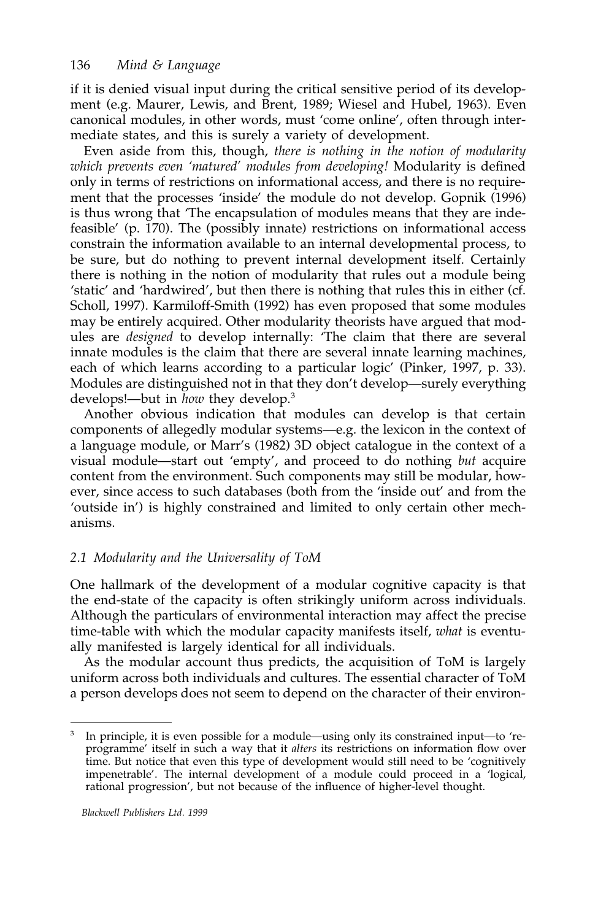if it is denied visual input during the critical sensitive period of its development (e.g. Maurer, Lewis, and Brent, 1989; Wiesel and Hubel, 1963). Even canonical modules, in other words, must 'come online', often through intermediate states, and this is surely a variety of development.

Even aside from this, though, *there is nothing in the notion of modularity which prevents even 'matured' modules from developing!* Modularity is defined only in terms of restrictions on informational access, and there is no requirement that the processes 'inside' the module do not develop. Gopnik (1996) is thus wrong that 'The encapsulation of modules means that they are indefeasible' (p. 170). The (possibly innate) restrictions on informational access constrain the information available to an internal developmental process, to be sure, but do nothing to prevent internal development itself. Certainly there is nothing in the notion of modularity that rules out a module being 'static' and 'hardwired', but then there is nothing that rules this in either (cf. Scholl, 1997). Karmiloff-Smith (1992) has even proposed that some modules may be entirely acquired. Other modularity theorists have argued that modules are *designed* to develop internally: 'The claim that there are several innate modules is the claim that there are several innate learning machines, each of which learns according to a particular logic' (Pinker, 1997, p. 33). Modules are distinguished not in that they don't develop—surely everything develops!—but in *how* they develop.3

Another obvious indication that modules can develop is that certain components of allegedly modular systems—e.g. the lexicon in the context of a language module, or Marr's (1982) 3D object catalogue in the context of a visual module—start out 'empty', and proceed to do nothing *but* acquire content from the environment. Such components may still be modular, however, since access to such databases (both from the 'inside out' and from the 'outside in') is highly constrained and limited to only certain other mechanisms.

# *2.1 Modularity and the Universality of ToM*

One hallmark of the development of a modular cognitive capacity is that the end-state of the capacity is often strikingly uniform across individuals. Although the particulars of environmental interaction may affect the precise time-table with which the modular capacity manifests itself, *what* is eventually manifested is largely identical for all individuals.

As the modular account thus predicts, the acquisition of ToM is largely uniform across both individuals and cultures. The essential character of ToM a person develops does not seem to depend on the character of their environ-

In principle, it is even possible for a module—using only its constrained input—to 'reprogramme' itself in such a way that it *alters* its restrictions on information flow over time. But notice that even this type of development would still need to be 'cognitively impenetrable'. The internal development of a module could proceed in a 'logical, rational progression', but not because of the influence of higher-level thought.

*Blackwell Publishers Ltd. 1999*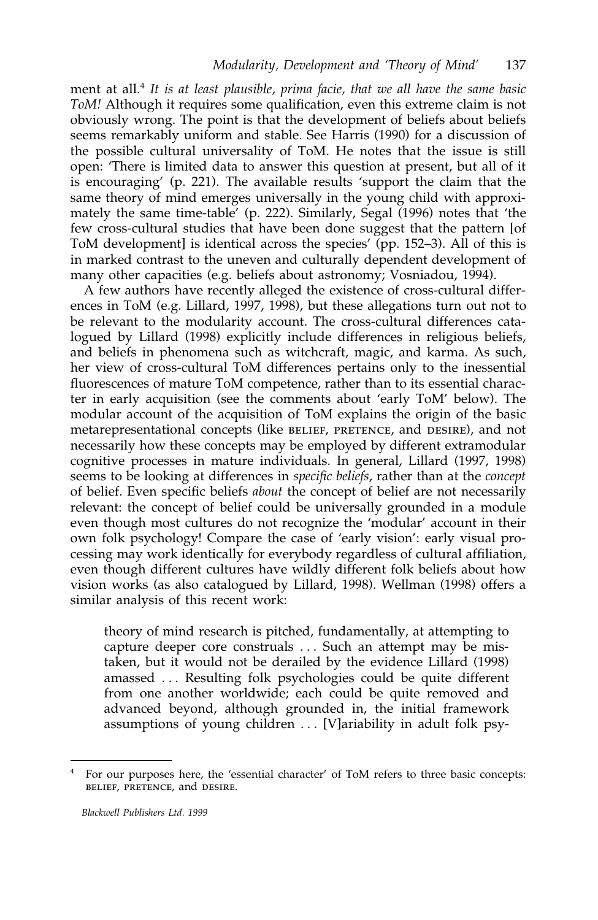ment at all.<sup>4</sup> *It is at least plausible, prima facie, that we all have the same basic ToM!* Although it requires some qualification, even this extreme claim is not obviously wrong. The point is that the development of beliefs about beliefs seems remarkably uniform and stable. See Harris (1990) for a discussion of the possible cultural universality of ToM. He notes that the issue is still open: 'There is limited data to answer this question at present, but all of it is encouraging' (p. 221). The available results 'support the claim that the same theory of mind emerges universally in the young child with approximately the same time-table' (p. 222). Similarly, Segal (1996) notes that 'the few cross-cultural studies that have been done suggest that the pattern [of ToM development] is identical across the species' (pp. 152–3). All of this is in marked contrast to the uneven and culturally dependent development of many other capacities (e.g. beliefs about astronomy; Vosniadou, 1994).

A few authors have recently alleged the existence of cross-cultural differences in ToM (e.g. Lillard, 1997, 1998), but these allegations turn out not to be relevant to the modularity account. The cross-cultural differences catalogued by Lillard (1998) explicitly include differences in religious beliefs, and beliefs in phenomena such as witchcraft, magic, and karma. As such, her view of cross-cultural ToM differences pertains only to the inessential fluorescences of mature ToM competence, rather than to its essential character in early acquisition (see the comments about 'early ToM' below). The modular account of the acquisition of ToM explains the origin of the basic metarepresentational concepts (like BELIEF, PRETENCE, and DESIRE), and not necessarily how these concepts may be employed by different extramodular cognitive processes in mature individuals. In general, Lillard (1997, 1998) seems to be looking at differences in *specific beliefs*, rather than at the *concept* of belief. Even specific beliefs *about* the concept of belief are not necessarily relevant: the concept of belief could be universally grounded in a module even though most cultures do not recognize the 'modular' account in their own folk psychology! Compare the case of 'early vision': early visual processing may work identically for everybody regardless of cultural affiliation, even though different cultures have wildly different folk beliefs about how vision works (as also catalogued by Lillard, 1998). Wellman (1998) offers a similar analysis of this recent work:

theory of mind research is pitched, fundamentally, at attempting to capture deeper core construals . . . Such an attempt may be mistaken, but it would not be derailed by the evidence Lillard (1998) amassed . . . Resulting folk psychologies could be quite different from one another worldwide; each could be quite removed and advanced beyond, although grounded in, the initial framework assumptions of young children . . . [V]ariability in adult folk psy-

<sup>4</sup> For our purposes here, the 'essential character' of ToM refers to three basic concepts: belief, pretence, and desire.

*Blackwell Publishers Ltd. 1999*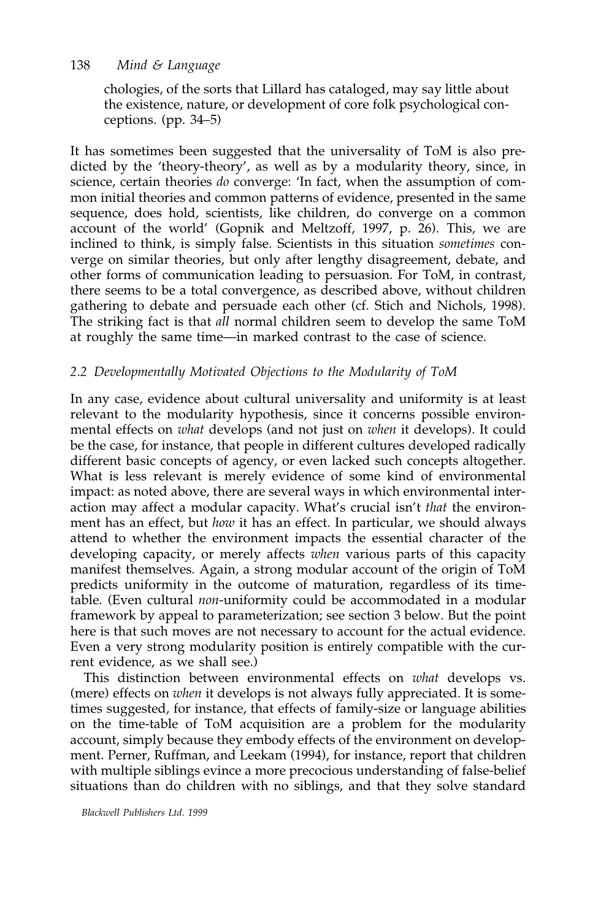# 138 *Mind & Language*

chologies, of the sorts that Lillard has cataloged, may say little about the existence, nature, or development of core folk psychological conceptions. (pp. 34–5)

It has sometimes been suggested that the universality of ToM is also predicted by the 'theory-theory', as well as by a modularity theory, since, in science, certain theories *do* converge: 'In fact, when the assumption of common initial theories and common patterns of evidence, presented in the same sequence, does hold, scientists, like children, do converge on a common account of the world' (Gopnik and Meltzoff, 1997, p. 26). This, we are inclined to think, is simply false. Scientists in this situation *sometimes* converge on similar theories, but only after lengthy disagreement, debate, and other forms of communication leading to persuasion. For ToM, in contrast, there seems to be a total convergence, as described above, without children gathering to debate and persuade each other (cf. Stich and Nichols, 1998). The striking fact is that *all* normal children seem to develop the same ToM at roughly the same time—in marked contrast to the case of science.

#### *2.2 Developmentally Motivated Objections to the Modularity of ToM*

In any case, evidence about cultural universality and uniformity is at least relevant to the modularity hypothesis, since it concerns possible environmental effects on *what* develops (and not just on *when* it develops). It could be the case, for instance, that people in different cultures developed radically different basic concepts of agency, or even lacked such concepts altogether. What is less relevant is merely evidence of some kind of environmental impact: as noted above, there are several ways in which environmental interaction may affect a modular capacity. What's crucial isn't *that* the environment has an effect, but *how* it has an effect. In particular, we should always attend to whether the environment impacts the essential character of the developing capacity, or merely affects *when* various parts of this capacity manifest themselves. Again, a strong modular account of the origin of ToM predicts uniformity in the outcome of maturation, regardless of its timetable. (Even cultural *non*-uniformity could be accommodated in a modular framework by appeal to parameterization; see section 3 below. But the point here is that such moves are not necessary to account for the actual evidence. Even a very strong modularity position is entirely compatible with the current evidence, as we shall see.)

This distinction between environmental effects on *what* develops vs. (mere) effects on *when* it develops is not always fully appreciated. It is sometimes suggested, for instance, that effects of family-size or language abilities on the time-table of ToM acquisition are a problem for the modularity account, simply because they embody effects of the environment on development. Perner, Ruffman, and Leekam (1994), for instance, report that children with multiple siblings evince a more precocious understanding of false-belief situations than do children with no siblings, and that they solve standard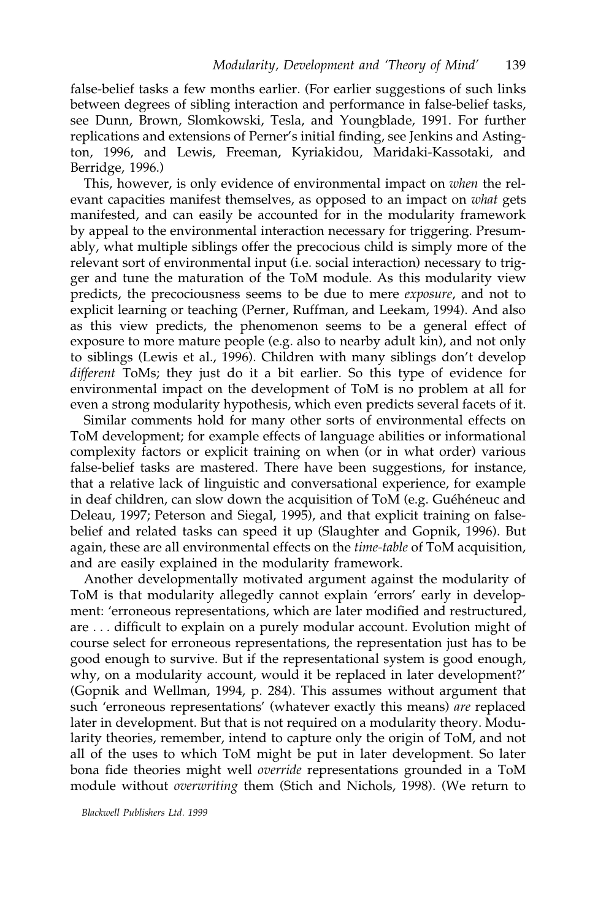false-belief tasks a few months earlier. (For earlier suggestions of such links between degrees of sibling interaction and performance in false-belief tasks, see Dunn, Brown, Slomkowski, Tesla, and Youngblade, 1991. For further replications and extensions of Perner's initial finding, see Jenkins and Astington, 1996, and Lewis, Freeman, Kyriakidou, Maridaki-Kassotaki, and Berridge, 1996.)

This, however, is only evidence of environmental impact on *when* the relevant capacities manifest themselves, as opposed to an impact on *what* gets manifested, and can easily be accounted for in the modularity framework by appeal to the environmental interaction necessary for triggering. Presumably, what multiple siblings offer the precocious child is simply more of the relevant sort of environmental input (i.e. social interaction) necessary to trigger and tune the maturation of the ToM module. As this modularity view predicts, the precociousness seems to be due to mere *exposure*, and not to explicit learning or teaching (Perner, Ruffman, and Leekam, 1994). And also as this view predicts, the phenomenon seems to be a general effect of exposure to more mature people (e.g. also to nearby adult kin), and not only to siblings (Lewis et al., 1996). Children with many siblings don't develop *different* ToMs; they just do it a bit earlier. So this type of evidence for environmental impact on the development of ToM is no problem at all for even a strong modularity hypothesis, which even predicts several facets of it.

Similar comments hold for many other sorts of environmental effects on ToM development; for example effects of language abilities or informational complexity factors or explicit training on when (or in what order) various false-belief tasks are mastered. There have been suggestions, for instance, that a relative lack of linguistic and conversational experience, for example in deaf children, can slow down the acquisition of ToM (e.g. Guéhéneuc and Deleau, 1997; Peterson and Siegal, 1995), and that explicit training on falsebelief and related tasks can speed it up (Slaughter and Gopnik, 1996). But again, these are all environmental effects on the *time-table* of ToM acquisition, and are easily explained in the modularity framework.

Another developmentally motivated argument against the modularity of ToM is that modularity allegedly cannot explain 'errors' early in development: 'erroneous representations, which are later modified and restructured, are . . . difficult to explain on a purely modular account. Evolution might of course select for erroneous representations, the representation just has to be good enough to survive. But if the representational system is good enough, why, on a modularity account, would it be replaced in later development?' (Gopnik and Wellman, 1994, p. 284). This assumes without argument that such 'erroneous representations' (whatever exactly this means) *are* replaced later in development. But that is not required on a modularity theory. Modularity theories, remember, intend to capture only the origin of ToM, and not all of the uses to which ToM might be put in later development. So later bona fide theories might well *override* representations grounded in a ToM module without *overwriting* them (Stich and Nichols, 1998). (We return to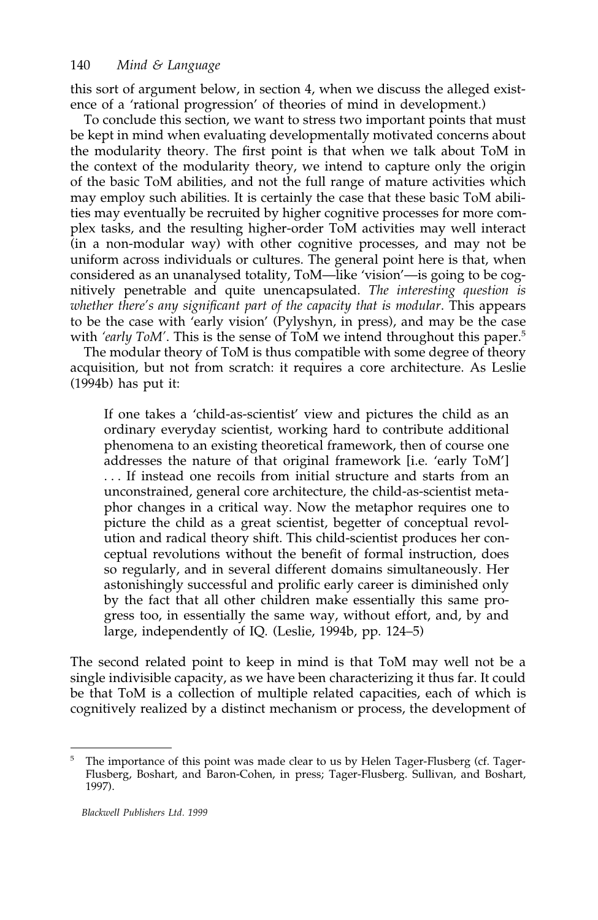this sort of argument below, in section 4, when we discuss the alleged existence of a 'rational progression' of theories of mind in development.)

To conclude this section, we want to stress two important points that must be kept in mind when evaluating developmentally motivated concerns about the modularity theory. The first point is that when we talk about ToM in the context of the modularity theory, we intend to capture only the origin of the basic ToM abilities, and not the full range of mature activities which may employ such abilities. It is certainly the case that these basic ToM abilities may eventually be recruited by higher cognitive processes for more complex tasks, and the resulting higher-order ToM activities may well interact (in a non-modular way) with other cognitive processes, and may not be uniform across individuals or cultures. The general point here is that, when considered as an unanalysed totality, ToM—like 'vision'—is going to be cognitively penetrable and quite unencapsulated. *The interesting question is whether there's any significant part of the capacity that is modular*. This appears to be the case with 'early vision' (Pylyshyn, in press), and may be the case with *'early ToM'*. This is the sense of ToM we intend throughout this paper.<sup>5</sup>

The modular theory of ToM is thus compatible with some degree of theory acquisition, but not from scratch: it requires a core architecture. As Leslie (1994b) has put it:

If one takes a 'child-as-scientist' view and pictures the child as an ordinary everyday scientist, working hard to contribute additional phenomena to an existing theoretical framework, then of course one addresses the nature of that original framework [i.e. 'early ToM'] . . . If instead one recoils from initial structure and starts from an unconstrained, general core architecture, the child-as-scientist metaphor changes in a critical way. Now the metaphor requires one to picture the child as a great scientist, begetter of conceptual revolution and radical theory shift. This child-scientist produces her conceptual revolutions without the benefit of formal instruction, does so regularly, and in several different domains simultaneously. Her astonishingly successful and prolific early career is diminished only by the fact that all other children make essentially this same progress too, in essentially the same way, without effort, and, by and large, independently of IQ. (Leslie, 1994b, pp. 124–5)

The second related point to keep in mind is that ToM may well not be a single indivisible capacity, as we have been characterizing it thus far. It could be that ToM is a collection of multiple related capacities, each of which is cognitively realized by a distinct mechanism or process, the development of

The importance of this point was made clear to us by Helen Tager-Flusberg (cf. Tager-Flusberg, Boshart, and Baron-Cohen, in press; Tager-Flusberg. Sullivan, and Boshart, 1997).

*Blackwell Publishers Ltd. 1999*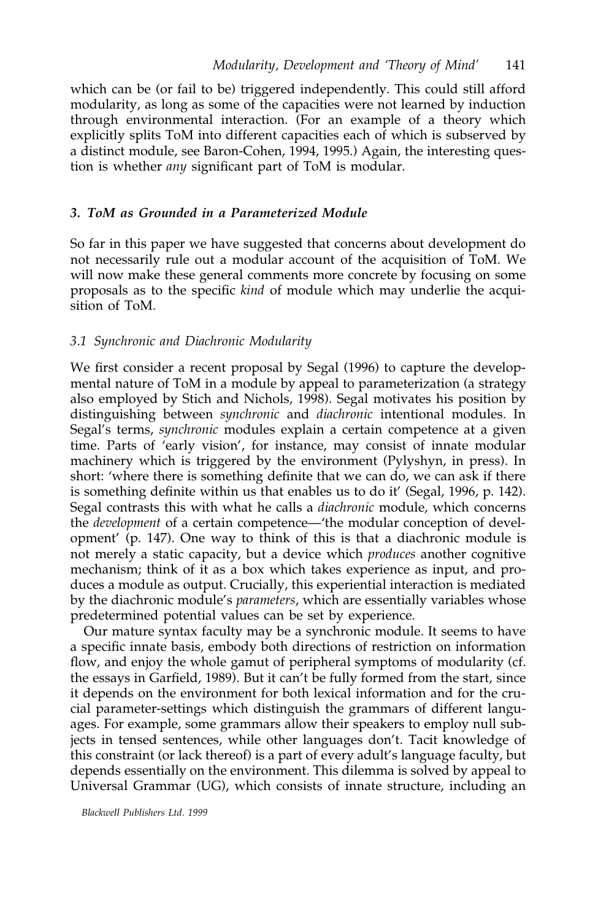which can be (or fail to be) triggered independently. This could still afford modularity, as long as some of the capacities were not learned by induction through environmental interaction. (For an example of a theory which explicitly splits ToM into different capacities each of which is subserved by a distinct module, see Baron-Cohen, 1994, 1995.) Again, the interesting question is whether *any* significant part of ToM is modular.

### *3. ToM as Grounded in a Parameterized Module*

So far in this paper we have suggested that concerns about development do not necessarily rule out a modular account of the acquisition of ToM. We will now make these general comments more concrete by focusing on some proposals as to the specific *kind* of module which may underlie the acquisition of ToM.

#### *3.1 Synchronic and Diachronic Modularity*

We first consider a recent proposal by Segal (1996) to capture the developmental nature of ToM in a module by appeal to parameterization (a strategy also employed by Stich and Nichols, 1998). Segal motivates his position by distinguishing between *synchronic* and *diachronic* intentional modules. In Segal's terms, *synchronic* modules explain a certain competence at a given time. Parts of 'early vision', for instance, may consist of innate modular machinery which is triggered by the environment (Pylyshyn, in press). In short: 'where there is something definite that we can do, we can ask if there is something definite within us that enables us to do it' (Segal, 1996, p. 142). Segal contrasts this with what he calls a *diachronic* module, which concerns the *development* of a certain competence—'the modular conception of development' (p. 147). One way to think of this is that a diachronic module is not merely a static capacity, but a device which *produces* another cognitive mechanism; think of it as a box which takes experience as input, and produces a module as output. Crucially, this experiential interaction is mediated by the diachronic module's *parameters*, which are essentially variables whose predetermined potential values can be set by experience.

Our mature syntax faculty may be a synchronic module. It seems to have a specific innate basis, embody both directions of restriction on information flow, and enjoy the whole gamut of peripheral symptoms of modularity (cf. the essays in Garfield, 1989). But it can't be fully formed from the start, since it depends on the environment for both lexical information and for the crucial parameter-settings which distinguish the grammars of different languages. For example, some grammars allow their speakers to employ null subjects in tensed sentences, while other languages don't. Tacit knowledge of this constraint (or lack thereof) is a part of every adult's language faculty, but depends essentially on the environment. This dilemma is solved by appeal to Universal Grammar (UG), which consists of innate structure, including an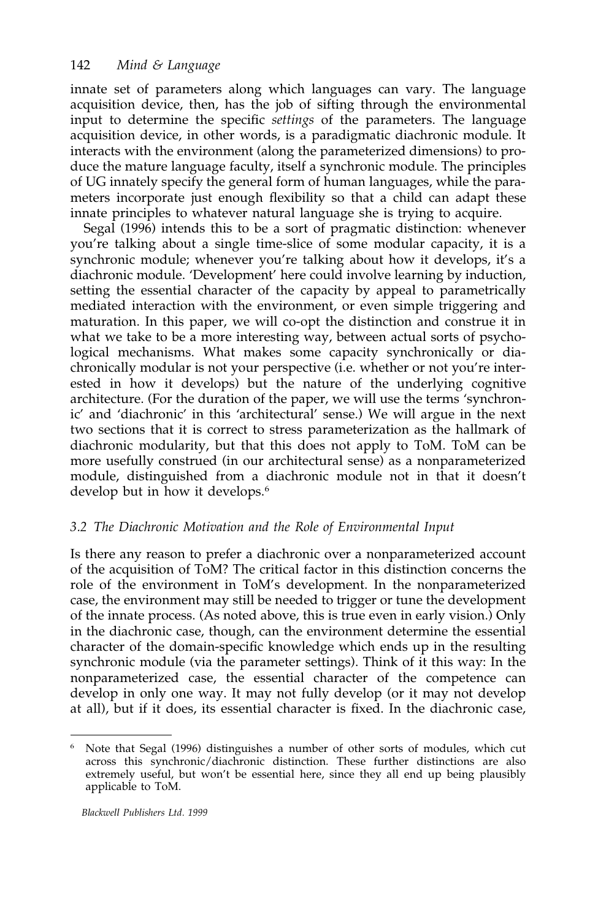innate set of parameters along which languages can vary. The language acquisition device, then, has the job of sifting through the environmental input to determine the specific *settings* of the parameters. The language acquisition device, in other words, is a paradigmatic diachronic module. It interacts with the environment (along the parameterized dimensions) to produce the mature language faculty, itself a synchronic module. The principles of UG innately specify the general form of human languages, while the parameters incorporate just enough flexibility so that a child can adapt these innate principles to whatever natural language she is trying to acquire.

Segal (1996) intends this to be a sort of pragmatic distinction: whenever you're talking about a single time-slice of some modular capacity, it is a synchronic module; whenever you're talking about how it develops, it's a diachronic module. 'Development' here could involve learning by induction, setting the essential character of the capacity by appeal to parametrically mediated interaction with the environment, or even simple triggering and maturation. In this paper, we will co-opt the distinction and construe it in what we take to be a more interesting way, between actual sorts of psychological mechanisms. What makes some capacity synchronically or diachronically modular is not your perspective (i.e. whether or not you're interested in how it develops) but the nature of the underlying cognitive architecture. (For the duration of the paper, we will use the terms 'synchronic' and 'diachronic' in this 'architectural' sense.) We will argue in the next two sections that it is correct to stress parameterization as the hallmark of diachronic modularity, but that this does not apply to ToM. ToM can be more usefully construed (in our architectural sense) as a nonparameterized module, distinguished from a diachronic module not in that it doesn't develop but in how it develops.<sup>6</sup>

# *3.2 The Diachronic Motivation and the Role of Environmental Input*

Is there any reason to prefer a diachronic over a nonparameterized account of the acquisition of ToM? The critical factor in this distinction concerns the role of the environment in ToM's development. In the nonparameterized case, the environment may still be needed to trigger or tune the development of the innate process. (As noted above, this is true even in early vision.) Only in the diachronic case, though, can the environment determine the essential character of the domain-specific knowledge which ends up in the resulting synchronic module (via the parameter settings). Think of it this way: In the nonparameterized case, the essential character of the competence can develop in only one way. It may not fully develop (or it may not develop at all), but if it does, its essential character is fixed. In the diachronic case,

<sup>6</sup> Note that Segal (1996) distinguishes a number of other sorts of modules, which cut across this synchronic/diachronic distinction. These further distinctions are also extremely useful, but won't be essential here, since they all end up being plausibly applicable to ToM.

*Blackwell Publishers Ltd. 1999*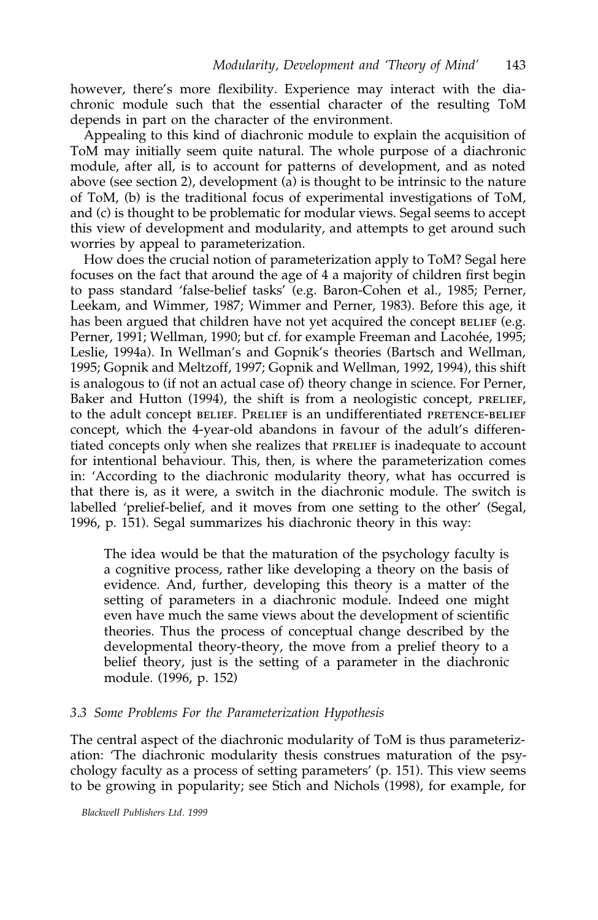however, there's more flexibility. Experience may interact with the diachronic module such that the essential character of the resulting ToM depends in part on the character of the environment.

Appealing to this kind of diachronic module to explain the acquisition of ToM may initially seem quite natural. The whole purpose of a diachronic module, after all, is to account for patterns of development, and as noted above (see section 2), development (a) is thought to be intrinsic to the nature of ToM, (b) is the traditional focus of experimental investigations of ToM, and (c) is thought to be problematic for modular views. Segal seems to accept this view of development and modularity, and attempts to get around such worries by appeal to parameterization.

How does the crucial notion of parameterization apply to ToM? Segal here focuses on the fact that around the age of 4 a majority of children first begin to pass standard 'false-belief tasks' (e.g. Baron-Cohen et al., 1985; Perner, Leekam, and Wimmer, 1987; Wimmer and Perner, 1983). Before this age, it has been argued that children have not yet acquired the concept BELIEF (e.g. Perner, 1991; Wellman, 1990; but cf. for example Freeman and Lacohée, 1995; Leslie, 1994a). In Wellman's and Gopnik's theories (Bartsch and Wellman, 1995; Gopnik and Meltzoff, 1997; Gopnik and Wellman, 1992, 1994), this shift is analogous to (if not an actual case of) theory change in science. For Perner, Baker and Hutton (1994), the shift is from a neologistic concept, PRELIEF, to the adult concept BELIEF. PRELIEF is an undifferentiated PRETENCE-BELIEF concept, which the 4-year-old abandons in favour of the adult's differentiated concepts only when she realizes that PRELIEF is inadequate to account for intentional behaviour. This, then, is where the parameterization comes in: 'According to the diachronic modularity theory, what has occurred is that there is, as it were, a switch in the diachronic module. The switch is labelled 'prelief-belief, and it moves from one setting to the other' (Segal, 1996, p. 151). Segal summarizes his diachronic theory in this way:

The idea would be that the maturation of the psychology faculty is a cognitive process, rather like developing a theory on the basis of evidence. And, further, developing this theory is a matter of the setting of parameters in a diachronic module. Indeed one might even have much the same views about the development of scientific theories. Thus the process of conceptual change described by the developmental theory-theory, the move from a prelief theory to a belief theory, just is the setting of a parameter in the diachronic module. (1996, p. 152)

#### *3.3 Some Problems For the Parameterization Hypothesis*

The central aspect of the diachronic modularity of ToM is thus parameterization: 'The diachronic modularity thesis construes maturation of the psychology faculty as a process of setting parameters' (p. 151). This view seems to be growing in popularity; see Stich and Nichols (1998), for example, for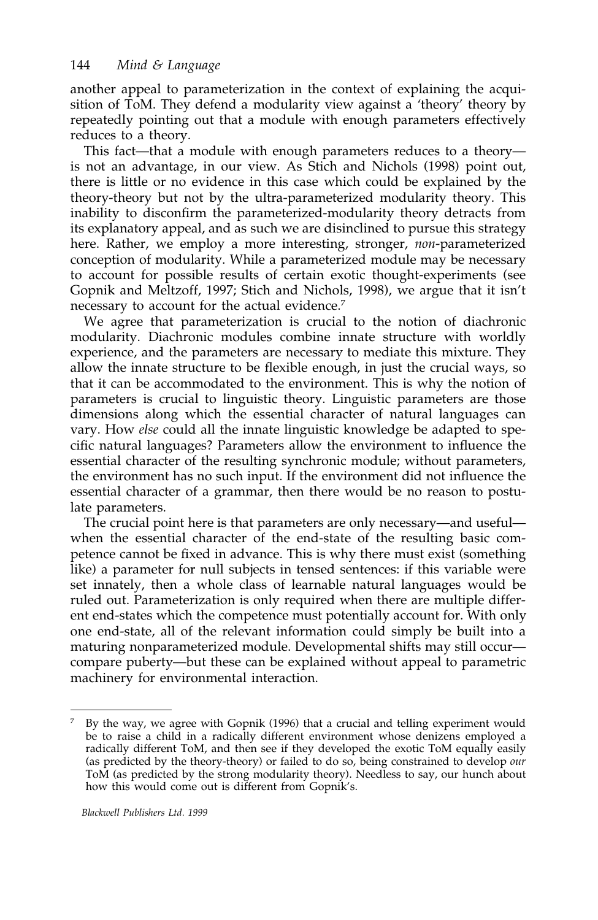another appeal to parameterization in the context of explaining the acquisition of ToM. They defend a modularity view against a 'theory' theory by repeatedly pointing out that a module with enough parameters effectively reduces to a theory.

This fact—that a module with enough parameters reduces to a theory is not an advantage, in our view. As Stich and Nichols (1998) point out, there is little or no evidence in this case which could be explained by the theory-theory but not by the ultra-parameterized modularity theory. This inability to disconfirm the parameterized-modularity theory detracts from its explanatory appeal, and as such we are disinclined to pursue this strategy here. Rather, we employ a more interesting, stronger, *non*-parameterized conception of modularity. While a parameterized module may be necessary to account for possible results of certain exotic thought-experiments (see Gopnik and Meltzoff, 1997; Stich and Nichols, 1998), we argue that it isn't necessary to account for the actual evidence.<sup>7</sup>

We agree that parameterization is crucial to the notion of diachronic modularity. Diachronic modules combine innate structure with worldly experience, and the parameters are necessary to mediate this mixture. They allow the innate structure to be flexible enough, in just the crucial ways, so that it can be accommodated to the environment. This is why the notion of parameters is crucial to linguistic theory. Linguistic parameters are those dimensions along which the essential character of natural languages can vary. How *else* could all the innate linguistic knowledge be adapted to specific natural languages? Parameters allow the environment to influence the essential character of the resulting synchronic module; without parameters, the environment has no such input. If the environment did not influence the essential character of a grammar, then there would be no reason to postulate parameters.

The crucial point here is that parameters are only necessary—and useful when the essential character of the end-state of the resulting basic competence cannot be fixed in advance. This is why there must exist (something like) a parameter for null subjects in tensed sentences: if this variable were set innately, then a whole class of learnable natural languages would be ruled out. Parameterization is only required when there are multiple different end-states which the competence must potentially account for. With only one end-state, all of the relevant information could simply be built into a maturing nonparameterized module. Developmental shifts may still occur compare puberty—but these can be explained without appeal to parametric machinery for environmental interaction.

 $7$  By the way, we agree with Gopnik (1996) that a crucial and telling experiment would be to raise a child in a radically different environment whose denizens employed a radically different ToM, and then see if they developed the exotic ToM equally easily (as predicted by the theory-theory) or failed to do so, being constrained to develop *our* ToM (as predicted by the strong modularity theory). Needless to say, our hunch about how this would come out is different from Gopnik's.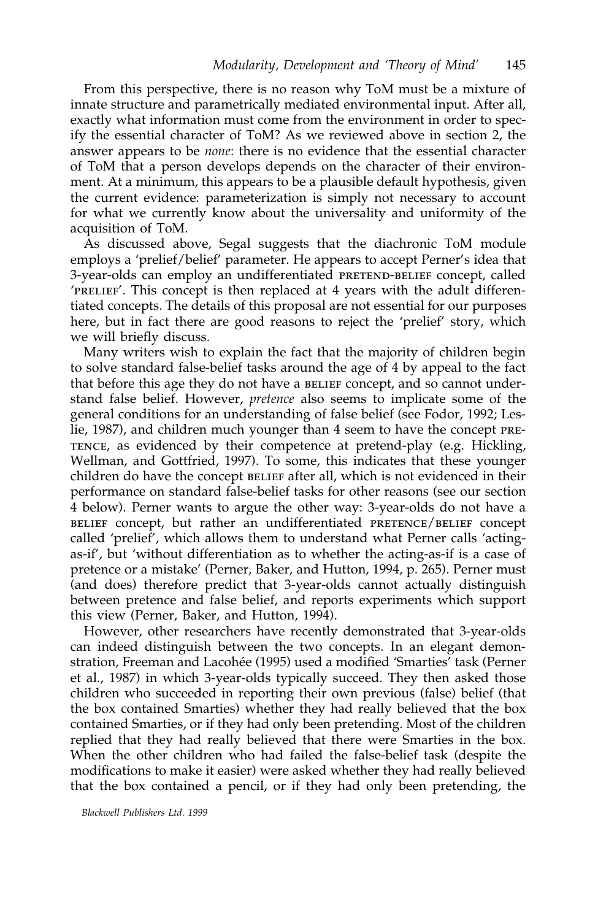From this perspective, there is no reason why ToM must be a mixture of innate structure and parametrically mediated environmental input. After all, exactly what information must come from the environment in order to specify the essential character of ToM? As we reviewed above in section 2, the answer appears to be *none*: there is no evidence that the essential character of ToM that a person develops depends on the character of their environment. At a minimum, this appears to be a plausible default hypothesis, given the current evidence: parameterization is simply not necessary to account for what we currently know about the universality and uniformity of the acquisition of ToM.

As discussed above, Segal suggests that the diachronic ToM module employs a 'prelief/belief' parameter. He appears to accept Perner's idea that 3-year-olds can employ an undifferentiated PRETEND-BELIEF concept, called 'prelief'. This concept is then replaced at 4 years with the adult differentiated concepts. The details of this proposal are not essential for our purposes here, but in fact there are good reasons to reject the 'prelief' story, which we will briefly discuss.

Many writers wish to explain the fact that the majority of children begin to solve standard false-belief tasks around the age of 4 by appeal to the fact that before this age they do not have a BELIEF concept, and so cannot understand false belief. However, *pretence* also seems to implicate some of the general conditions for an understanding of false belief (see Fodor, 1992; Leslie, 1987), and children much younger than 4 seem to have the concept pretence, as evidenced by their competence at pretend-play (e.g. Hickling, Wellman, and Gottfried, 1997). To some, this indicates that these younger children do have the concept BELIEF after all, which is not evidenced in their performance on standard false-belief tasks for other reasons (see our section 4 below). Perner wants to argue the other way: 3-year-olds do not have a BELIEF concept, but rather an undifferentiated PRETENCE/BELIEF concept called 'prelief', which allows them to understand what Perner calls 'actingas-if', but 'without differentiation as to whether the acting-as-if is a case of pretence or a mistake' (Perner, Baker, and Hutton, 1994, p. 265). Perner must (and does) therefore predict that 3-year-olds cannot actually distinguish between pretence and false belief, and reports experiments which support this view (Perner, Baker, and Hutton, 1994).

However, other researchers have recently demonstrated that 3-year-olds can indeed distinguish between the two concepts. In an elegant demonstration, Freeman and Lacohée (1995) used a modified 'Smarties' task (Perner et al., 1987) in which 3-year-olds typically succeed. They then asked those children who succeeded in reporting their own previous (false) belief (that the box contained Smarties) whether they had really believed that the box contained Smarties, or if they had only been pretending. Most of the children replied that they had really believed that there were Smarties in the box. When the other children who had failed the false-belief task (despite the modifications to make it easier) were asked whether they had really believed that the box contained a pencil, or if they had only been pretending, the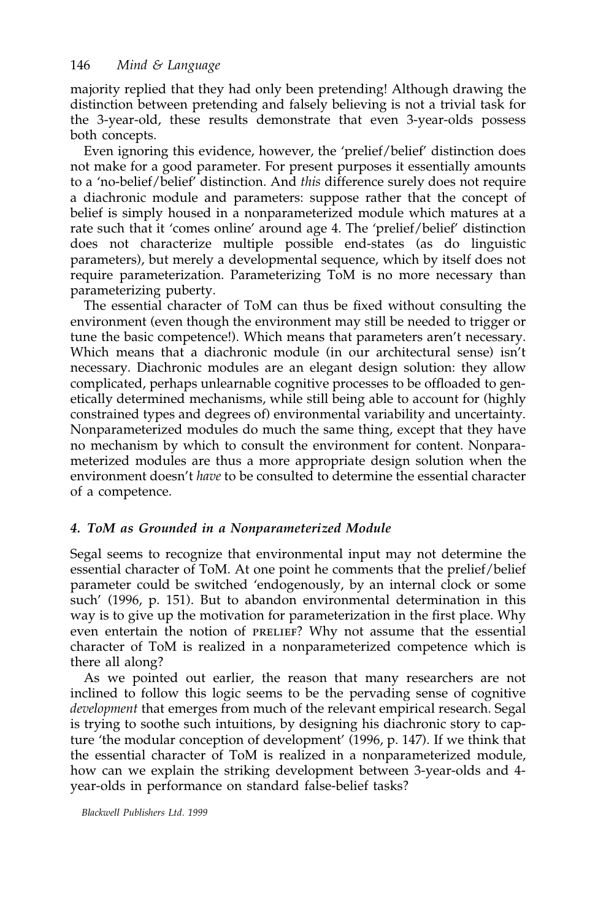majority replied that they had only been pretending! Although drawing the distinction between pretending and falsely believing is not a trivial task for the 3-year-old, these results demonstrate that even 3-year-olds possess both concepts.

Even ignoring this evidence, however, the 'prelief/belief' distinction does not make for a good parameter. For present purposes it essentially amounts to a 'no-belief/belief' distinction. And *this* difference surely does not require a diachronic module and parameters: suppose rather that the concept of belief is simply housed in a nonparameterized module which matures at a rate such that it 'comes online' around age 4. The 'prelief/belief' distinction does not characterize multiple possible end-states (as do linguistic parameters), but merely a developmental sequence, which by itself does not require parameterization. Parameterizing ToM is no more necessary than parameterizing puberty.

The essential character of ToM can thus be fixed without consulting the environment (even though the environment may still be needed to trigger or tune the basic competence!). Which means that parameters aren't necessary. Which means that a diachronic module (in our architectural sense) isn't necessary. Diachronic modules are an elegant design solution: they allow complicated, perhaps unlearnable cognitive processes to be offloaded to genetically determined mechanisms, while still being able to account for (highly constrained types and degrees of) environmental variability and uncertainty. Nonparameterized modules do much the same thing, except that they have no mechanism by which to consult the environment for content. Nonparameterized modules are thus a more appropriate design solution when the environment doesn't *have* to be consulted to determine the essential character of a competence.

# *4. ToM as Grounded in a Nonparameterized Module*

Segal seems to recognize that environmental input may not determine the essential character of ToM. At one point he comments that the prelief/belief parameter could be switched 'endogenously, by an internal clock or some such' (1996, p. 151). But to abandon environmental determination in this way is to give up the motivation for parameterization in the first place. Why even entertain the notion of PRELIEF? Why not assume that the essential character of ToM is realized in a nonparameterized competence which is there all along?

As we pointed out earlier, the reason that many researchers are not inclined to follow this logic seems to be the pervading sense of cognitive *development* that emerges from much of the relevant empirical research. Segal is trying to soothe such intuitions, by designing his diachronic story to capture 'the modular conception of development' (1996, p. 147). If we think that the essential character of ToM is realized in a nonparameterized module, how can we explain the striking development between 3-year-olds and 4 year-olds in performance on standard false-belief tasks?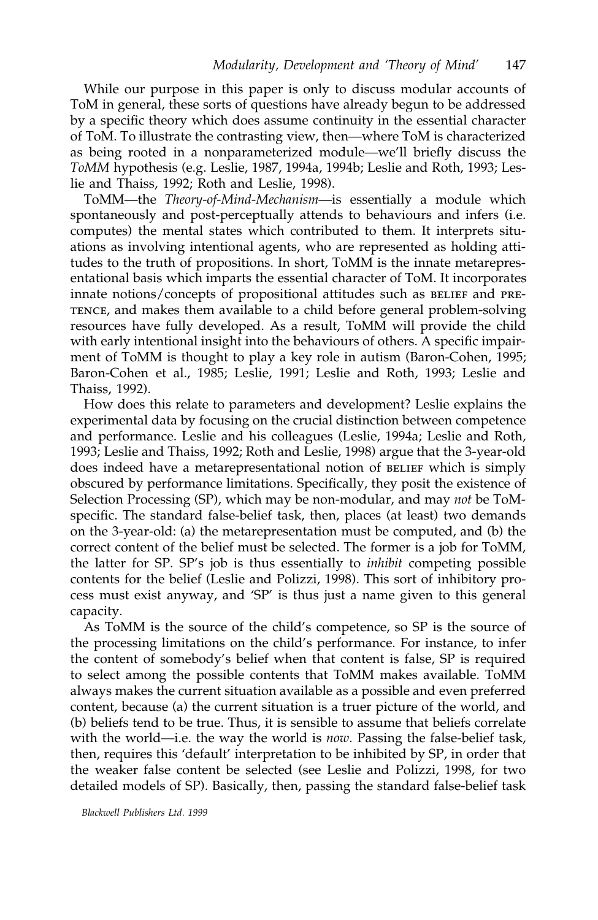While our purpose in this paper is only to discuss modular accounts of ToM in general, these sorts of questions have already begun to be addressed by a specific theory which does assume continuity in the essential character of ToM. To illustrate the contrasting view, then—where ToM is characterized as being rooted in a nonparameterized module—we'll briefly discuss the *ToMM* hypothesis (e.g. Leslie, 1987, 1994a, 1994b; Leslie and Roth, 1993; Leslie and Thaiss, 1992; Roth and Leslie, 1998).

ToMM—the *Theory-of-Mind-Mechanism*—is essentially a module which spontaneously and post-perceptually attends to behaviours and infers (i.e. computes) the mental states which contributed to them. It interprets situations as involving intentional agents, who are represented as holding attitudes to the truth of propositions. In short, ToMM is the innate metarepresentational basis which imparts the essential character of ToM. It incorporates innate notions/concepts of propositional attitudes such as BELIEF and PREtence, and makes them available to a child before general problem-solving resources have fully developed. As a result, ToMM will provide the child with early intentional insight into the behaviours of others. A specific impairment of ToMM is thought to play a key role in autism (Baron-Cohen, 1995; Baron-Cohen et al., 1985; Leslie, 1991; Leslie and Roth, 1993; Leslie and Thaiss, 1992).

How does this relate to parameters and development? Leslie explains the experimental data by focusing on the crucial distinction between competence and performance. Leslie and his colleagues (Leslie, 1994a; Leslie and Roth, 1993; Leslie and Thaiss, 1992; Roth and Leslie, 1998) argue that the 3-year-old does indeed have a metarepresentational notion of BELIEF which is simply obscured by performance limitations. Specifically, they posit the existence of Selection Processing (SP), which may be non-modular, and may *not* be ToMspecific. The standard false-belief task, then, places (at least) two demands on the 3-year-old: (a) the metarepresentation must be computed, and (b) the correct content of the belief must be selected. The former is a job for ToMM, the latter for SP. SP's job is thus essentially to *inhibit* competing possible contents for the belief (Leslie and Polizzi, 1998). This sort of inhibitory process must exist anyway, and 'SP' is thus just a name given to this general capacity.

As ToMM is the source of the child's competence, so SP is the source of the processing limitations on the child's performance. For instance, to infer the content of somebody's belief when that content is false, SP is required to select among the possible contents that ToMM makes available. ToMM always makes the current situation available as a possible and even preferred content, because (a) the current situation is a truer picture of the world, and (b) beliefs tend to be true. Thus, it is sensible to assume that beliefs correlate with the world—i.e. the way the world is *now*. Passing the false-belief task, then, requires this 'default' interpretation to be inhibited by SP, in order that the weaker false content be selected (see Leslie and Polizzi, 1998, for two detailed models of SP). Basically, then, passing the standard false-belief task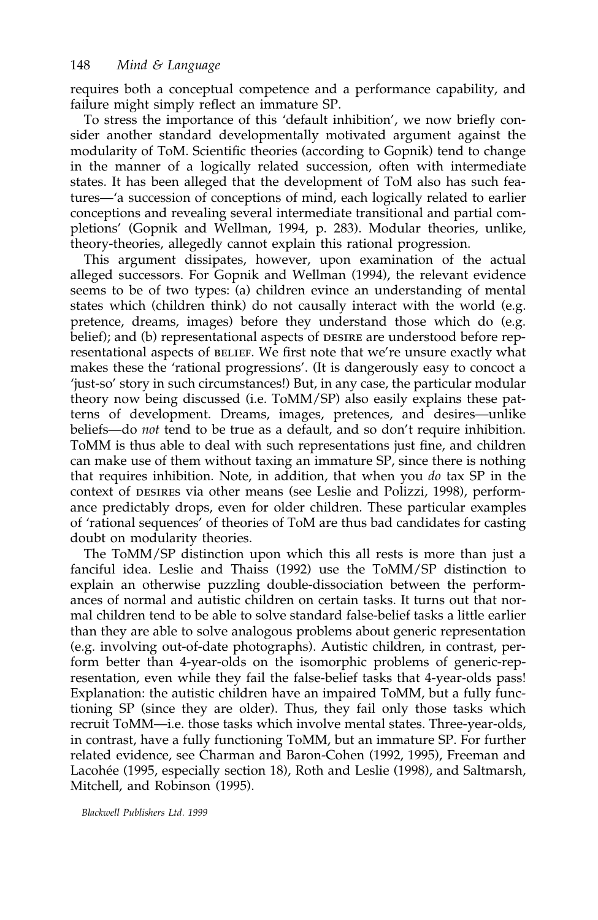requires both a conceptual competence and a performance capability, and failure might simply reflect an immature SP.

To stress the importance of this 'default inhibition', we now briefly consider another standard developmentally motivated argument against the modularity of ToM. Scientific theories (according to Gopnik) tend to change in the manner of a logically related succession, often with intermediate states. It has been alleged that the development of ToM also has such features—'a succession of conceptions of mind, each logically related to earlier conceptions and revealing several intermediate transitional and partial completions' (Gopnik and Wellman, 1994, p. 283). Modular theories, unlike, theory-theories, allegedly cannot explain this rational progression.

This argument dissipates, however, upon examination of the actual alleged successors. For Gopnik and Wellman (1994), the relevant evidence seems to be of two types: (a) children evince an understanding of mental states which (children think) do not causally interact with the world (e.g. pretence, dreams, images) before they understand those which do (e.g. belief); and (b) representational aspects of  $p$  pesing are understood before representational aspects of BELIEF. We first note that we're unsure exactly what makes these the 'rational progressions'. (It is dangerously easy to concoct a 'just-so' story in such circumstances!) But, in any case, the particular modular theory now being discussed (i.e. ToMM/SP) also easily explains these patterns of development. Dreams, images, pretences, and desires—unlike beliefs—do *not* tend to be true as a default, and so don't require inhibition. ToMM is thus able to deal with such representations just fine, and children can make use of them without taxing an immature SP, since there is nothing that requires inhibition. Note, in addition, that when you *do* tax SP in the context of DESIRES via other means (see Leslie and Polizzi, 1998), performance predictably drops, even for older children. These particular examples of 'rational sequences' of theories of ToM are thus bad candidates for casting doubt on modularity theories.

The ToMM/SP distinction upon which this all rests is more than just a fanciful idea. Leslie and Thaiss (1992) use the ToMM/SP distinction to explain an otherwise puzzling double-dissociation between the performances of normal and autistic children on certain tasks. It turns out that normal children tend to be able to solve standard false-belief tasks a little earlier than they are able to solve analogous problems about generic representation (e.g. involving out-of-date photographs). Autistic children, in contrast, perform better than 4-year-olds on the isomorphic problems of generic-representation, even while they fail the false-belief tasks that 4-year-olds pass! Explanation: the autistic children have an impaired ToMM, but a fully functioning SP (since they are older). Thus, they fail only those tasks which recruit ToMM—i.e. those tasks which involve mental states. Three-year-olds, in contrast, have a fully functioning ToMM, but an immature SP. For further related evidence, see Charman and Baron-Cohen (1992, 1995), Freeman and Lacohée (1995, especially section 18), Roth and Leslie (1998), and Saltmarsh, Mitchell, and Robinson (1995).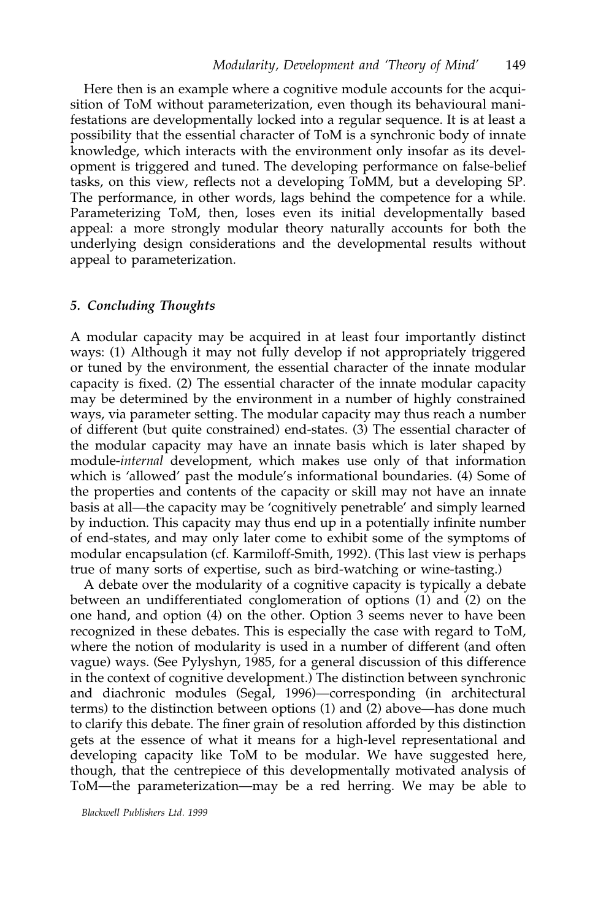Here then is an example where a cognitive module accounts for the acquisition of ToM without parameterization, even though its behavioural manifestations are developmentally locked into a regular sequence. It is at least a possibility that the essential character of ToM is a synchronic body of innate knowledge, which interacts with the environment only insofar as its development is triggered and tuned. The developing performance on false-belief tasks, on this view, reflects not a developing ToMM, but a developing SP. The performance, in other words, lags behind the competence for a while. Parameterizing ToM, then, loses even its initial developmentally based appeal: a more strongly modular theory naturally accounts for both the underlying design considerations and the developmental results without appeal to parameterization.

#### *5. Concluding Thoughts*

A modular capacity may be acquired in at least four importantly distinct ways: (1) Although it may not fully develop if not appropriately triggered or tuned by the environment, the essential character of the innate modular capacity is fixed. (2) The essential character of the innate modular capacity may be determined by the environment in a number of highly constrained ways, via parameter setting. The modular capacity may thus reach a number of different (but quite constrained) end-states. (3) The essential character of the modular capacity may have an innate basis which is later shaped by module-*internal* development, which makes use only of that information which is 'allowed' past the module's informational boundaries. (4) Some of the properties and contents of the capacity or skill may not have an innate basis at all—the capacity may be 'cognitively penetrable' and simply learned by induction. This capacity may thus end up in a potentially infinite number of end-states, and may only later come to exhibit some of the symptoms of modular encapsulation (cf. Karmiloff-Smith, 1992). (This last view is perhaps true of many sorts of expertise, such as bird-watching or wine-tasting.)

A debate over the modularity of a cognitive capacity is typically a debate between an undifferentiated conglomeration of options (1) and (2) on the one hand, and option (4) on the other. Option 3 seems never to have been recognized in these debates. This is especially the case with regard to ToM, where the notion of modularity is used in a number of different (and often vague) ways. (See Pylyshyn, 1985, for a general discussion of this difference in the context of cognitive development.) The distinction between synchronic and diachronic modules (Segal, 1996)—corresponding (in architectural terms) to the distinction between options (1) and (2) above—has done much to clarify this debate. The finer grain of resolution afforded by this distinction gets at the essence of what it means for a high-level representational and developing capacity like ToM to be modular. We have suggested here, though, that the centrepiece of this developmentally motivated analysis of ToM—the parameterization—may be a red herring. We may be able to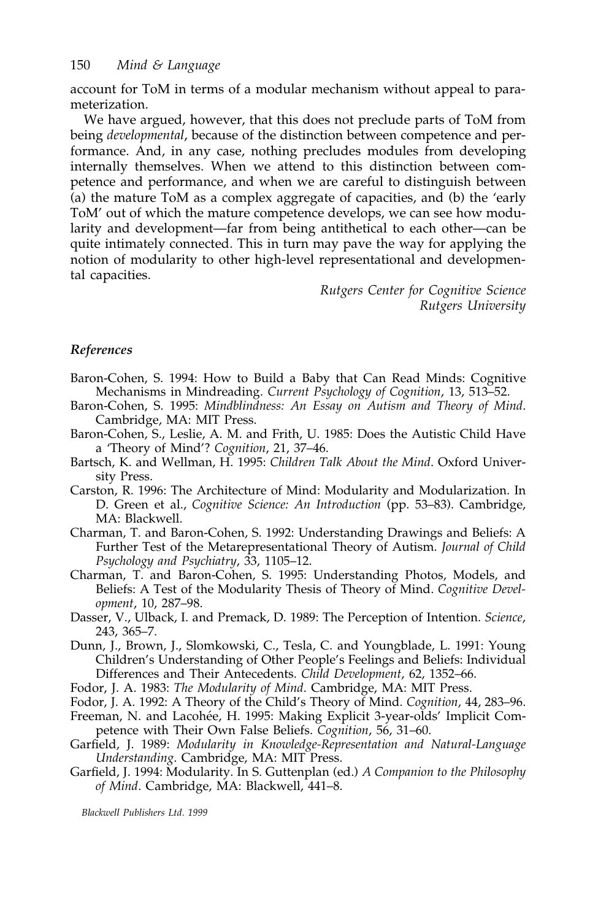account for ToM in terms of a modular mechanism without appeal to parameterization.

We have argued, however, that this does not preclude parts of ToM from being *developmental*, because of the distinction between competence and performance. And, in any case, nothing precludes modules from developing internally themselves. When we attend to this distinction between competence and performance, and when we are careful to distinguish between (a) the mature ToM as a complex aggregate of capacities, and (b) the 'early ToM' out of which the mature competence develops, we can see how modularity and development—far from being antithetical to each other—can be quite intimately connected. This in turn may pave the way for applying the notion of modularity to other high-level representational and developmental capacities.

> *Rutgers Center for Cognitive Science Rutgers University*

# *References*

- Baron-Cohen, S. 1994: How to Build a Baby that Can Read Minds: Cognitive Mechanisms in Mindreading. *Current Psychology of Cognition*, 13, 513–52.
- Baron-Cohen, S. 1995: *Mindblindness: An Essay on Autism and Theory of Mind*. Cambridge, MA: MIT Press.
- Baron-Cohen, S., Leslie, A. M. and Frith, U. 1985: Does the Autistic Child Have a 'Theory of Mind'? *Cognition*, 21, 37–46.
- Bartsch, K. and Wellman, H. 1995: *Children Talk About the Mind*. Oxford University Press.
- Carston, R. 1996: The Architecture of Mind: Modularity and Modularization. In D. Green et al., *Cognitive Science: An Introduction* (pp. 53–83). Cambridge, MA: Blackwell.
- Charman, T. and Baron-Cohen, S. 1992: Understanding Drawings and Beliefs: A Further Test of the Metarepresentational Theory of Autism. *Journal of Child Psychology and Psychiatry*, 33, 1105–12.
- Charman, T. and Baron-Cohen, S. 1995: Understanding Photos, Models, and Beliefs: A Test of the Modularity Thesis of Theory of Mind. *Cognitive Development*, 10, 287–98.
- Dasser, V., Ulback, I. and Premack, D. 1989: The Perception of Intention. *Science*, 243, 365–7.
- Dunn, J., Brown, J., Slomkowski, C., Tesla, C. and Youngblade, L. 1991: Young Children's Understanding of Other People's Feelings and Beliefs: Individual Differences and Their Antecedents. *Child Development*, 62, 1352–66.
- Fodor, J. A. 1983: *The Modularity of Mind*. Cambridge, MA: MIT Press.
- Fodor, J. A. 1992: A Theory of the Child's Theory of Mind. *Cognition*, 44, 283–96.
- Freeman, N. and Lacohée, H. 1995: Making Explicit 3-year-olds' Implicit Competence with Their Own False Beliefs. *Cognition*, 56, 31–60.
- Garfield, J. 1989: *Modularity in Knowledge-Representation and Natural-Language Understanding*. Cambridge, MA: MIT Press.
- Garfield, J. 1994: Modularity. In S. Guttenplan (ed.) *A Companion to the Philosophy of Mind*. Cambridge, MA: Blackwell, 441–8.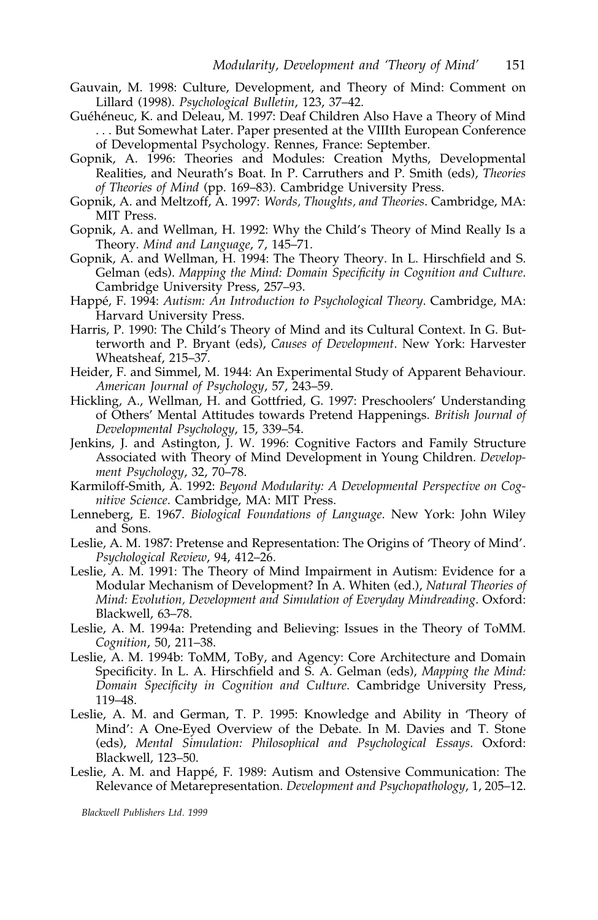- Gauvain, M. 1998: Culture, Development, and Theory of Mind: Comment on Lillard (1998). *Psychological Bulletin*, 123, 37–42.
- Guéhéneuc, K. and Deleau, M. 1997: Deaf Children Also Have a Theory of Mind ... But Somewhat Later. Paper presented at the VIIIth European Conference of Developmental Psychology. Rennes, France: September.
- Gopnik, A. 1996: Theories and Modules: Creation Myths, Developmental Realities, and Neurath's Boat. In P. Carruthers and P. Smith (eds), *Theories of Theories of Mind* (pp. 169–83). Cambridge University Press.
- Gopnik, A. and Meltzoff, A. 1997: *Words, Thoughts, and Theories*. Cambridge, MA: MIT Press.
- Gopnik, A. and Wellman, H. 1992: Why the Child's Theory of Mind Really Is a Theory. *Mind and Language*, 7, 145–71.
- Gopnik, A. and Wellman, H. 1994: The Theory Theory. In L. Hirschfield and S. Gelman (eds). *Mapping the Mind: Domain Specificity in Cognition and Culture*. Cambridge University Press, 257–93.
- Happé, F. 1994: Autism: An Introduction to Psychological Theory. Cambridge, MA: Harvard University Press.
- Harris, P. 1990: The Child's Theory of Mind and its Cultural Context. In G. Butterworth and P. Bryant (eds), *Causes of Development*. New York: Harvester Wheatsheaf, 215–37.
- Heider, F. and Simmel, M. 1944: An Experimental Study of Apparent Behaviour. *American Journal of Psychology*, 57, 243–59.
- Hickling, A., Wellman, H. and Gottfried, G. 1997: Preschoolers' Understanding of Others' Mental Attitudes towards Pretend Happenings. *British Journal of Developmental Psychology*, 15, 339–54.
- Jenkins, J. and Astington, J. W. 1996: Cognitive Factors and Family Structure Associated with Theory of Mind Development in Young Children. *Development Psychology*, 32, 70–78.
- Karmiloff-Smith, A. 1992: *Beyond Modularity: A Developmental Perspective on Cognitive Science*. Cambridge, MA: MIT Press.
- Lenneberg, E. 1967. *Biological Foundations of Language*. New York: John Wiley and Sons.
- Leslie, A. M. 1987: Pretense and Representation: The Origins of 'Theory of Mind'. *Psychological Review*, 94, 412–26.
- Leslie, A. M. 1991: The Theory of Mind Impairment in Autism: Evidence for a Modular Mechanism of Development? In A. Whiten (ed.), *Natural Theories of Mind: Evolution, Development and Simulation of Everyday Mindreading*. Oxford: Blackwell, 63–78.
- Leslie, A. M. 1994a: Pretending and Believing: Issues in the Theory of ToMM. *Cognition*, 50, 211–38.
- Leslie, A. M. 1994b: ToMM, ToBy, and Agency: Core Architecture and Domain Specificity. In L. A. Hirschfield and S. A. Gelman (eds), *Mapping the Mind: Domain Specificity in Cognition and Culture*. Cambridge University Press, 119–48.
- Leslie, A. M. and German, T. P. 1995: Knowledge and Ability in 'Theory of Mind': A One-Eyed Overview of the Debate. In M. Davies and T. Stone (eds), *Mental Simulation: Philosophical and Psychological Essays*. Oxford: Blackwell, 123–50.
- Leslie, A. M. and Happé, F. 1989: Autism and Ostensive Communication: The Relevance of Metarepresentation. *Development and Psychopathology*, 1, 205–12.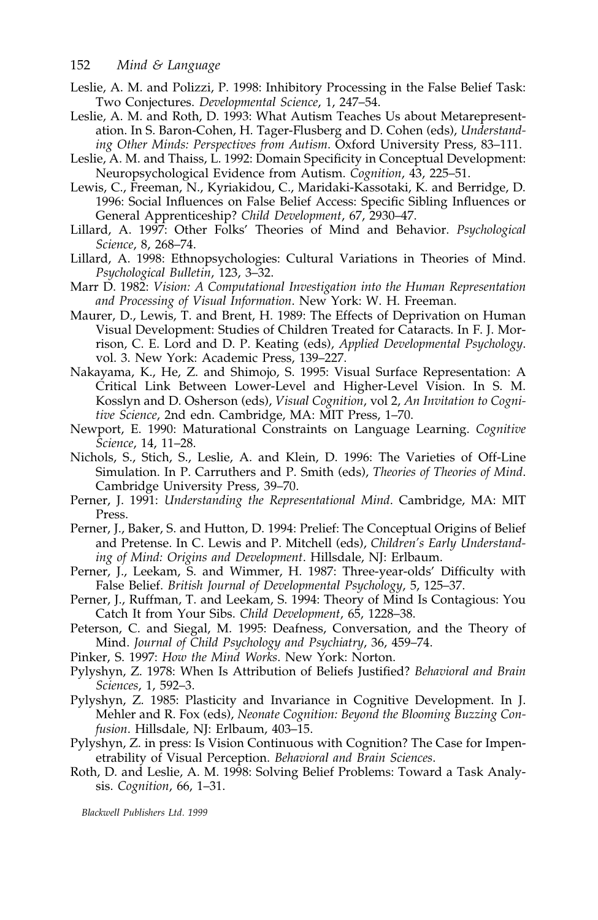- Leslie, A. M. and Polizzi, P. 1998: Inhibitory Processing in the False Belief Task: Two Conjectures. *Developmental Science*, 1, 247–54.
- Leslie, A. M. and Roth, D. 1993: What Autism Teaches Us about Metarepresentation. In S. Baron-Cohen, H. Tager-Flusberg and D. Cohen (eds), *Understanding Other Minds: Perspectives from Autism*. Oxford University Press, 83–111.
- Leslie, A. M. and Thaiss, L. 1992: Domain Specificity in Conceptual Development: Neuropsychological Evidence from Autism. *Cognition*, 43, 225–51.
- Lewis, C., Freeman, N., Kyriakidou, C., Maridaki-Kassotaki, K. and Berridge, D. 1996: Social Influences on False Belief Access: Specific Sibling Influences or General Apprenticeship? *Child Development*, 67, 2930–47.
- Lillard, A. 1997: Other Folks' Theories of Mind and Behavior. *Psychological Science*, 8, 268–74.
- Lillard, A. 1998: Ethnopsychologies: Cultural Variations in Theories of Mind. *Psychological Bulletin*, 123, 3–32.
- Marr D. 1982: *Vision: A Computational Investigation into the Human Representation and Processing of Visual Information*. New York: W. H. Freeman.
- Maurer, D., Lewis, T. and Brent, H. 1989: The Effects of Deprivation on Human Visual Development: Studies of Children Treated for Cataracts. In F. J. Morrison, C. E. Lord and D. P. Keating (eds), *Applied Developmental Psychology*. vol. 3. New York: Academic Press, 139–227.
- Nakayama, K., He, Z. and Shimojo, S. 1995: Visual Surface Representation: A Critical Link Between Lower-Level and Higher-Level Vision. In S. M. Kosslyn and D. Osherson (eds), *Visual Cognition*, vol 2, *An Invitation to Cognitive Science*, 2nd edn. Cambridge, MA: MIT Press, 1–70.
- Newport, E. 1990: Maturational Constraints on Language Learning. *Cognitive Science*, 14, 11–28.
- Nichols, S., Stich, S., Leslie, A. and Klein, D. 1996: The Varieties of Off-Line Simulation. In P. Carruthers and P. Smith (eds), *Theories of Theories of Mind*. Cambridge University Press, 39–70.
- Perner, J. 1991: *Understanding the Representational Mind*. Cambridge, MA: MIT Press.
- Perner, J., Baker, S. and Hutton, D. 1994: Prelief: The Conceptual Origins of Belief and Pretense. In C. Lewis and P. Mitchell (eds), *Children's Early Understanding of Mind: Origins and Development*. Hillsdale, NJ: Erlbaum.
- Perner, J., Leekam, S. and Wimmer, H. 1987: Three-year-olds' Difficulty with False Belief. *British Journal of Developmental Psychology*, 5, 125–37.
- Perner, J., Ruffman, T. and Leekam, S. 1994: Theory of Mind Is Contagious: You Catch It from Your Sibs. *Child Development*, 65, 1228–38.
- Peterson, C. and Siegal, M. 1995: Deafness, Conversation, and the Theory of Mind. *Journal of Child Psychology and Psychiatry*, 36, 459–74.
- Pinker, S. 1997: *How the Mind Works*. New York: Norton.
- Pylyshyn, Z. 1978: When Is Attribution of Beliefs Justified? *Behavioral and Brain Sciences*, 1, 592–3.
- Pylyshyn, Z. 1985: Plasticity and Invariance in Cognitive Development. In J. Mehler and R. Fox (eds), *Neonate Cognition: Beyond the Blooming Buzzing Confusion*. Hillsdale, NJ: Erlbaum, 403–15.
- Pylyshyn, Z. in press: Is Vision Continuous with Cognition? The Case for Impenetrability of Visual Perception. *Behavioral and Brain Sciences*.
- Roth, D. and Leslie, A. M. 1998: Solving Belief Problems: Toward a Task Analysis. *Cognition*, 66, 1–31.